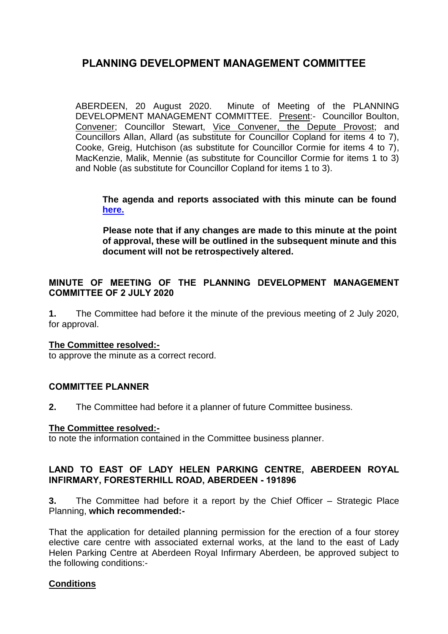ABERDEEN, 20 August 2020. Minute of Meeting of the PLANNING DEVELOPMENT MANAGEMENT COMMITTEE. Present:- Councillor Boulton, Convener; Councillor Stewart, Vice Convener, the Depute Provost; and Councillors Allan, Allard (as substitute for Councillor Copland for items 4 to 7), Cooke, Greig, Hutchison (as substitute for Councillor Cormie for items 4 to 7), MacKenzie, Malik, Mennie (as substitute for Councillor Cormie for items 1 to 3) and Noble (as substitute for Councillor Copland for items 1 to 3).

**The agenda and reports associated with this minute can be found [here.](https://committees.aberdeencity.gov.uk/ieListDocuments.aspx?CId=348&MId=7094&Ver=4)**

**Please note that if any changes are made to this minute at the point of approval, these will be outlined in the subsequent minute and this document will not be retrospectively altered.**

## **MINUTE OF MEETING OF THE PLANNING DEVELOPMENT MANAGEMENT COMMITTEE OF 2 JULY 2020**

**1.** The Committee had before it the minute of the previous meeting of 2 July 2020, for approval.

### **The Committee resolved:-**

to approve the minute as a correct record.

### **COMMITTEE PLANNER**

**2.** The Committee had before it a planner of future Committee business.

#### **The Committee resolved:-**

to note the information contained in the Committee business planner.

### **LAND TO EAST OF LADY HELEN PARKING CENTRE, ABERDEEN ROYAL INFIRMARY, FORESTERHILL ROAD, ABERDEEN - 191896**

**3.** The Committee had before it a report by the Chief Officer – Strategic Place Planning, **which recommended:-**

That the application for detailed planning permission for the erection of a four storey elective care centre with associated external works, at the land to the east of Lady Helen Parking Centre at Aberdeen Royal Infirmary Aberdeen, be approved subject to the following conditions:-

### **Conditions**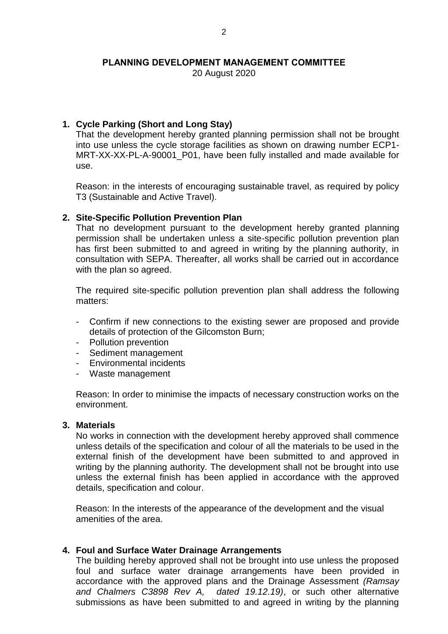20 August 2020

## **1. Cycle Parking (Short and Long Stay)**

That the development hereby granted planning permission shall not be brought into use unless the cycle storage facilities as shown on drawing number ECP1- MRT-XX-XX-PL-A-90001 P01, have been fully installed and made available for use.

Reason: in the interests of encouraging sustainable travel, as required by policy T3 (Sustainable and Active Travel).

### **2. Site-Specific Pollution Prevention Plan**

That no development pursuant to the development hereby granted planning permission shall be undertaken unless a site-specific pollution prevention plan has first been submitted to and agreed in writing by the planning authority, in consultation with SEPA. Thereafter, all works shall be carried out in accordance with the plan so agreed.

The required site-specific pollution prevention plan shall address the following matters:

- Confirm if new connections to the existing sewer are proposed and provide details of protection of the Gilcomston Burn;
- Pollution prevention
- Sediment management
- Environmental incidents
- Waste management

Reason: In order to minimise the impacts of necessary construction works on the environment.

#### **3. Materials**

No works in connection with the development hereby approved shall commence unless details of the specification and colour of all the materials to be used in the external finish of the development have been submitted to and approved in writing by the planning authority. The development shall not be brought into use unless the external finish has been applied in accordance with the approved details, specification and colour.

Reason: In the interests of the appearance of the development and the visual amenities of the area.

### **4. Foul and Surface Water Drainage Arrangements**

The building hereby approved shall not be brought into use unless the proposed foul and surface water drainage arrangements have been provided in accordance with the approved plans and the Drainage Assessment *(Ramsay and Chalmers C3898 Rev A, dated 19.12.19)*, or such other alternative submissions as have been submitted to and agreed in writing by the planning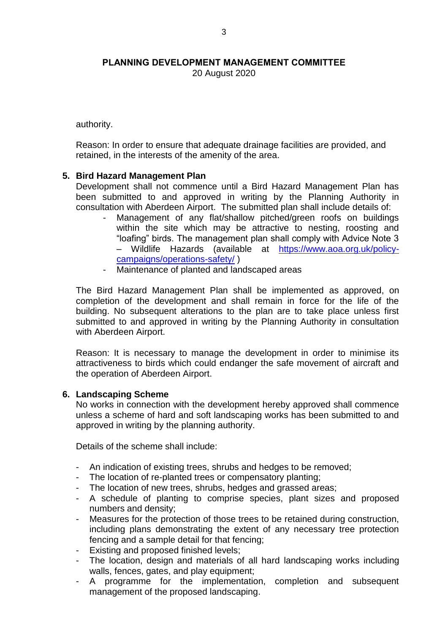20 August 2020

authority.

Reason: In order to ensure that adequate drainage facilities are provided, and retained, in the interests of the amenity of the area.

### **5. Bird Hazard Management Plan**

Development shall not commence until a Bird Hazard Management Plan has been submitted to and approved in writing by the Planning Authority in consultation with Aberdeen Airport. The submitted plan shall include details of:

- Management of any flat/shallow pitched/green roofs on buildings within the site which may be attractive to nesting, roosting and "loafing" birds. The management plan shall comply with Advice Note 3 – Wildlife Hazards (available at [https://www.aoa.org.uk/policy](https://www.aoa.org.uk/policy-campaigns/operations-safety/)[campaigns/operations-safety/](https://www.aoa.org.uk/policy-campaigns/operations-safety/) )
- Maintenance of planted and landscaped areas

The Bird Hazard Management Plan shall be implemented as approved, on completion of the development and shall remain in force for the life of the building. No subsequent alterations to the plan are to take place unless first submitted to and approved in writing by the Planning Authority in consultation with Aberdeen Airport.

Reason: It is necessary to manage the development in order to minimise its attractiveness to birds which could endanger the safe movement of aircraft and the operation of Aberdeen Airport.

#### **6. Landscaping Scheme**

No works in connection with the development hereby approved shall commence unless a scheme of hard and soft landscaping works has been submitted to and approved in writing by the planning authority.

Details of the scheme shall include:

- An indication of existing trees, shrubs and hedges to be removed;
- The location of re-planted trees or compensatory planting;
- The location of new trees, shrubs, hedges and grassed areas;
- A schedule of planting to comprise species, plant sizes and proposed numbers and density;
- Measures for the protection of those trees to be retained during construction, including plans demonstrating the extent of any necessary tree protection fencing and a sample detail for that fencing;
- Existing and proposed finished levels;
- The location, design and materials of all hard landscaping works including walls, fences, gates, and play equipment;
- A programme for the implementation, completion and subsequent management of the proposed landscaping.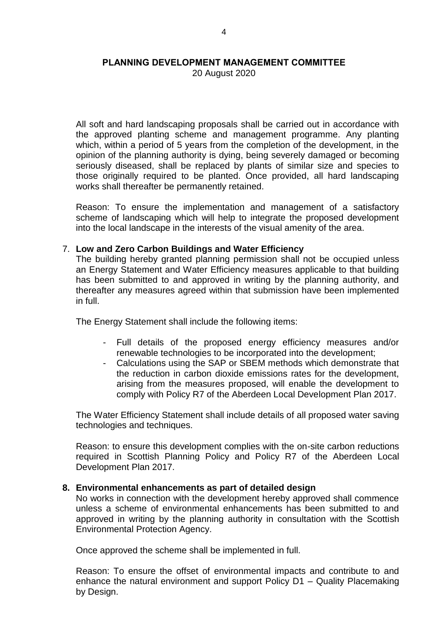20 August 2020

All soft and hard landscaping proposals shall be carried out in accordance with the approved planting scheme and management programme. Any planting which, within a period of 5 years from the completion of the development, in the opinion of the planning authority is dying, being severely damaged or becoming seriously diseased, shall be replaced by plants of similar size and species to those originally required to be planted. Once provided, all hard landscaping works shall thereafter be permanently retained.

Reason: To ensure the implementation and management of a satisfactory scheme of landscaping which will help to integrate the proposed development into the local landscape in the interests of the visual amenity of the area.

#### 7. **Low and Zero Carbon Buildings and Water Efficiency**

The building hereby granted planning permission shall not be occupied unless an Energy Statement and Water Efficiency measures applicable to that building has been submitted to and approved in writing by the planning authority, and thereafter any measures agreed within that submission have been implemented in full.

The Energy Statement shall include the following items:

- Full details of the proposed energy efficiency measures and/or renewable technologies to be incorporated into the development;
- Calculations using the SAP or SBEM methods which demonstrate that the reduction in carbon dioxide emissions rates for the development, arising from the measures proposed, will enable the development to comply with Policy R7 of the Aberdeen Local Development Plan 2017.

The Water Efficiency Statement shall include details of all proposed water saving technologies and techniques.

Reason: to ensure this development complies with the on-site carbon reductions required in Scottish Planning Policy and Policy R7 of the Aberdeen Local Development Plan 2017.

#### **8. Environmental enhancements as part of detailed design**

No works in connection with the development hereby approved shall commence unless a scheme of environmental enhancements has been submitted to and approved in writing by the planning authority in consultation with the Scottish Environmental Protection Agency.

Once approved the scheme shall be implemented in full.

Reason: To ensure the offset of environmental impacts and contribute to and enhance the natural environment and support Policy D1 – Quality Placemaking by Design.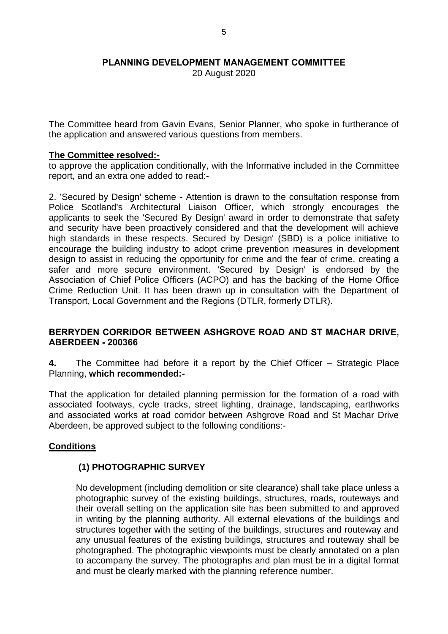20 August 2020

The Committee heard from Gavin Evans, Senior Planner, who spoke in furtherance of the application and answered various questions from members.

#### **The Committee resolved:-**

to approve the application conditionally, with the Informative included in the Committee report, and an extra one added to read:-

2. 'Secured by Design' scheme - Attention is drawn to the consultation response from Police Scotland's Architectural Liaison Officer, which strongly encourages the applicants to seek the 'Secured By Design' award in order to demonstrate that safety and security have been proactively considered and that the development will achieve high standards in these respects. Secured by Design' (SBD) is a police initiative to encourage the building industry to adopt crime prevention measures in development design to assist in reducing the opportunity for crime and the fear of crime, creating a safer and more secure environment. 'Secured by Design' is endorsed by the Association of Chief Police Officers (ACPO) and has the backing of the Home Office Crime Reduction Unit. It has been drawn up in consultation with the Department of Transport, Local Government and the Regions (DTLR, formerly DTLR).

### **BERRYDEN CORRIDOR BETWEEN ASHGROVE ROAD AND ST MACHAR DRIVE, ABERDEEN - 200366**

**4.** The Committee had before it a report by the Chief Officer – Strategic Place Planning, **which recommended:-**

That the application for detailed planning permission for the formation of a road with associated footways, cycle tracks, street lighting, drainage, landscaping, earthworks and associated works at road corridor between Ashgrove Road and St Machar Drive Aberdeen, be approved subject to the following conditions:-

### **Conditions**

## **(1) PHOTOGRAPHIC SURVEY**

No development (including demolition or site clearance) shall take place unless a photographic survey of the existing buildings, structures, roads, routeways and their overall setting on the application site has been submitted to and approved in writing by the planning authority. All external elevations of the buildings and structures together with the setting of the buildings, structures and routeway and any unusual features of the existing buildings, structures and routeway shall be photographed. The photographic viewpoints must be clearly annotated on a plan to accompany the survey. The photographs and plan must be in a digital format and must be clearly marked with the planning reference number.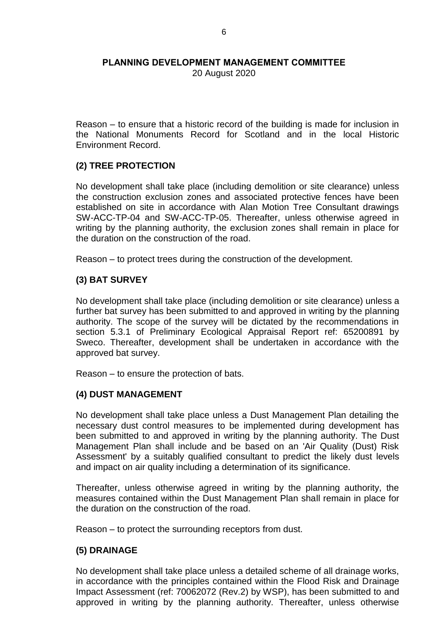20 August 2020

Reason – to ensure that a historic record of the building is made for inclusion in the National Monuments Record for Scotland and in the local Historic Environment Record.

## **(2) TREE PROTECTION**

No development shall take place (including demolition or site clearance) unless the construction exclusion zones and associated protective fences have been established on site in accordance with Alan Motion Tree Consultant drawings SW-ACC-TP-04 and SW-ACC-TP-05. Thereafter, unless otherwise agreed in writing by the planning authority, the exclusion zones shall remain in place for the duration on the construction of the road.

Reason – to protect trees during the construction of the development.

### **(3) BAT SURVEY**

No development shall take place (including demolition or site clearance) unless a further bat survey has been submitted to and approved in writing by the planning authority. The scope of the survey will be dictated by the recommendations in section 5.3.1 of Preliminary Ecological Appraisal Report ref: 65200891 by Sweco. Thereafter, development shall be undertaken in accordance with the approved bat survey.

Reason – to ensure the protection of bats.

### **(4) DUST MANAGEMENT**

No development shall take place unless a Dust Management Plan detailing the necessary dust control measures to be implemented during development has been submitted to and approved in writing by the planning authority. The Dust Management Plan shall include and be based on an 'Air Quality (Dust) Risk Assessment' by a suitably qualified consultant to predict the likely dust levels and impact on air quality including a determination of its significance.

Thereafter, unless otherwise agreed in writing by the planning authority, the measures contained within the Dust Management Plan shall remain in place for the duration on the construction of the road.

Reason – to protect the surrounding receptors from dust.

### **(5) DRAINAGE**

No development shall take place unless a detailed scheme of all drainage works, in accordance with the principles contained within the Flood Risk and Drainage Impact Assessment (ref: 70062072 (Rev.2) by WSP), has been submitted to and approved in writing by the planning authority. Thereafter, unless otherwise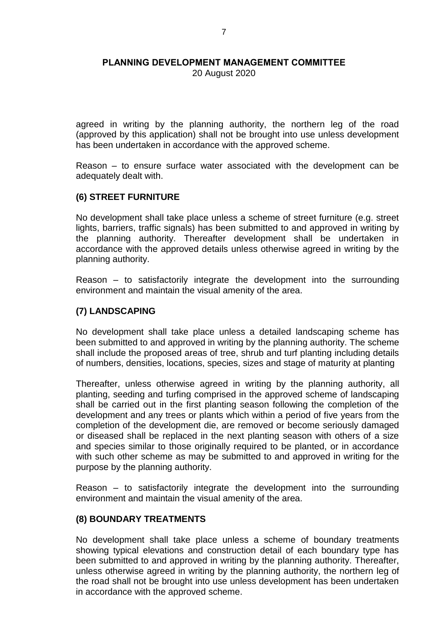20 August 2020

agreed in writing by the planning authority, the northern leg of the road (approved by this application) shall not be brought into use unless development has been undertaken in accordance with the approved scheme.

Reason – to ensure surface water associated with the development can be adequately dealt with.

### **(6) STREET FURNITURE**

No development shall take place unless a scheme of street furniture (e.g. street lights, barriers, traffic signals) has been submitted to and approved in writing by the planning authority. Thereafter development shall be undertaken in accordance with the approved details unless otherwise agreed in writing by the planning authority.

Reason – to satisfactorily integrate the development into the surrounding environment and maintain the visual amenity of the area.

## **(7) LANDSCAPING**

No development shall take place unless a detailed landscaping scheme has been submitted to and approved in writing by the planning authority. The scheme shall include the proposed areas of tree, shrub and turf planting including details of numbers, densities, locations, species, sizes and stage of maturity at planting

Thereafter, unless otherwise agreed in writing by the planning authority, all planting, seeding and turfing comprised in the approved scheme of landscaping shall be carried out in the first planting season following the completion of the development and any trees or plants which within a period of five years from the completion of the development die, are removed or become seriously damaged or diseased shall be replaced in the next planting season with others of a size and species similar to those originally required to be planted, or in accordance with such other scheme as may be submitted to and approved in writing for the purpose by the planning authority.

Reason – to satisfactorily integrate the development into the surrounding environment and maintain the visual amenity of the area.

### **(8) BOUNDARY TREATMENTS**

No development shall take place unless a scheme of boundary treatments showing typical elevations and construction detail of each boundary type has been submitted to and approved in writing by the planning authority. Thereafter, unless otherwise agreed in writing by the planning authority, the northern leg of the road shall not be brought into use unless development has been undertaken in accordance with the approved scheme.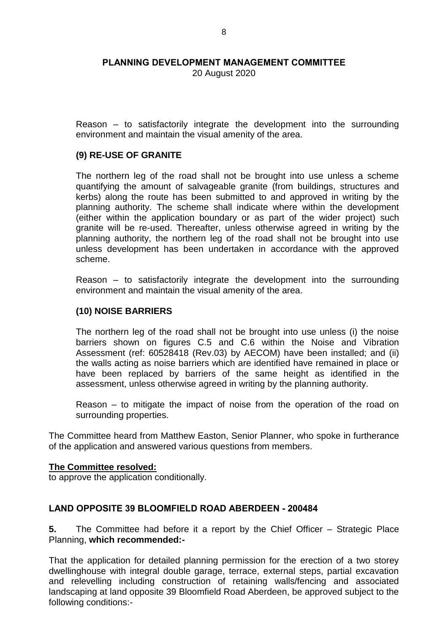20 August 2020

Reason – to satisfactorily integrate the development into the surrounding environment and maintain the visual amenity of the area.

### **(9) RE-USE OF GRANITE**

The northern leg of the road shall not be brought into use unless a scheme quantifying the amount of salvageable granite (from buildings, structures and kerbs) along the route has been submitted to and approved in writing by the planning authority. The scheme shall indicate where within the development (either within the application boundary or as part of the wider project) such granite will be re-used. Thereafter, unless otherwise agreed in writing by the planning authority, the northern leg of the road shall not be brought into use unless development has been undertaken in accordance with the approved scheme.

Reason – to satisfactorily integrate the development into the surrounding environment and maintain the visual amenity of the area.

## **(10) NOISE BARRIERS**

The northern leg of the road shall not be brought into use unless (i) the noise barriers shown on figures C.5 and C.6 within the Noise and Vibration Assessment (ref: 60528418 (Rev.03) by AECOM) have been installed; and (ii) the walls acting as noise barriers which are identified have remained in place or have been replaced by barriers of the same height as identified in the assessment, unless otherwise agreed in writing by the planning authority.

Reason – to mitigate the impact of noise from the operation of the road on surrounding properties.

The Committee heard from Matthew Easton, Senior Planner, who spoke in furtherance of the application and answered various questions from members.

#### **The Committee resolved:**

to approve the application conditionally.

### **LAND OPPOSITE 39 BLOOMFIELD ROAD ABERDEEN - 200484**

**5.** The Committee had before it a report by the Chief Officer – Strategic Place Planning, **which recommended:-**

That the application for detailed planning permission for the erection of a two storey dwellinghouse with integral double garage, terrace, external steps, partial excavation and relevelling including construction of retaining walls/fencing and associated landscaping at land opposite 39 Bloomfield Road Aberdeen, be approved subject to the following conditions:-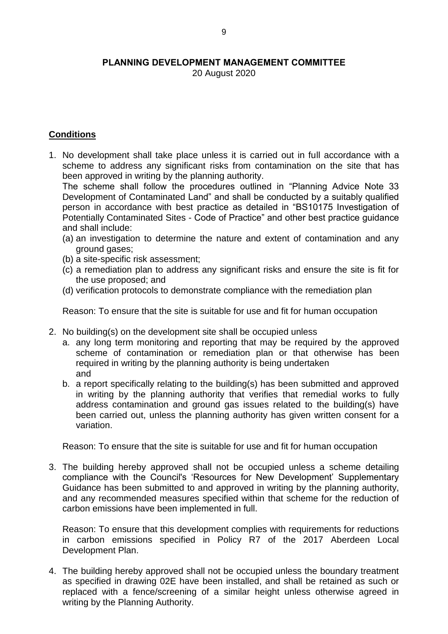20 August 2020

## **Conditions**

1. No development shall take place unless it is carried out in full accordance with a scheme to address any significant risks from contamination on the site that has been approved in writing by the planning authority.

The scheme shall follow the procedures outlined in "Planning Advice Note 33 Development of Contaminated Land" and shall be conducted by a suitably qualified person in accordance with best practice as detailed in "BS10175 Investigation of Potentially Contaminated Sites - Code of Practice" and other best practice guidance and shall include:

- (a) an investigation to determine the nature and extent of contamination and any ground gases;
- (b) a site-specific risk assessment;
- (c) a remediation plan to address any significant risks and ensure the site is fit for the use proposed; and
- (d) verification protocols to demonstrate compliance with the remediation plan

Reason: To ensure that the site is suitable for use and fit for human occupation

- 2. No building(s) on the development site shall be occupied unless
	- a. any long term monitoring and reporting that may be required by the approved scheme of contamination or remediation plan or that otherwise has been required in writing by the planning authority is being undertaken and
	- b. a report specifically relating to the building(s) has been submitted and approved in writing by the planning authority that verifies that remedial works to fully address contamination and ground gas issues related to the building(s) have been carried out, unless the planning authority has given written consent for a variation.

Reason: To ensure that the site is suitable for use and fit for human occupation

3. The building hereby approved shall not be occupied unless a scheme detailing compliance with the Council's 'Resources for New Development' Supplementary Guidance has been submitted to and approved in writing by the planning authority, and any recommended measures specified within that scheme for the reduction of carbon emissions have been implemented in full.

Reason: To ensure that this development complies with requirements for reductions in carbon emissions specified in Policy R7 of the 2017 Aberdeen Local Development Plan.

4. The building hereby approved shall not be occupied unless the boundary treatment as specified in drawing 02E have been installed, and shall be retained as such or replaced with a fence/screening of a similar height unless otherwise agreed in writing by the Planning Authority.